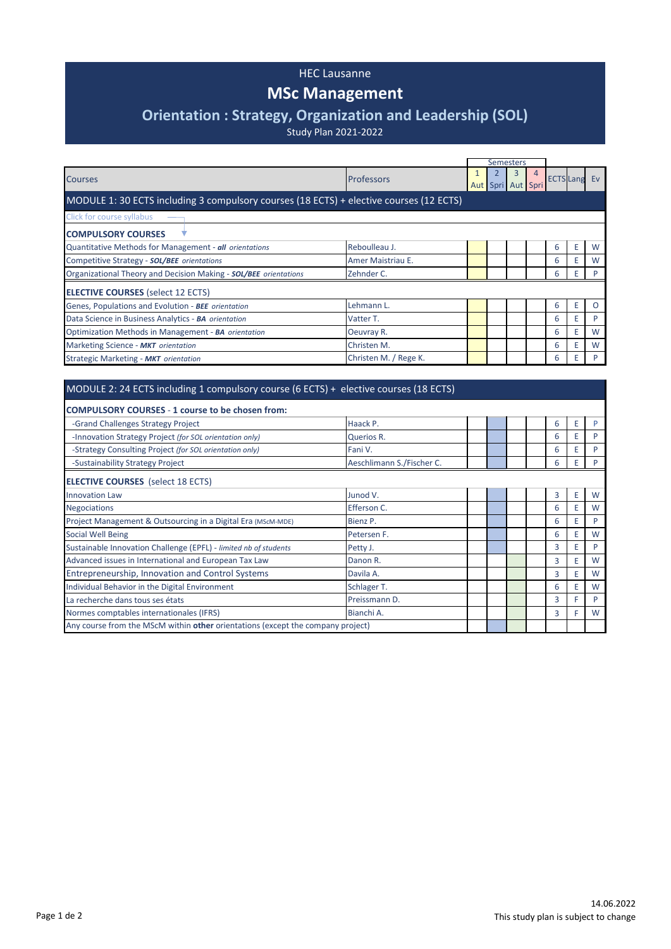### HEC Lausanne

# **MSc Management**

# **Orientation : Strategy, Organization and Leadership (SOL)**

Study Plan 2021-2022

|                                                                                         |                       | <b>Semesters</b>  |   |   |                     |    |          |
|-----------------------------------------------------------------------------------------|-----------------------|-------------------|---|---|---------------------|----|----------|
| <b>Courses</b>                                                                          | <b>Professors</b>     | Aut Spri Aut Spri | 3 | 4 | <b>ECTS Lang Ev</b> |    |          |
| MODULE 1: 30 ECTS including 3 compulsory courses (18 ECTS) + elective courses (12 ECTS) |                       |                   |   |   |                     |    |          |
| Click for course syllabus                                                               |                       |                   |   |   |                     |    |          |
| <b>COMPULSORY COURSES</b>                                                               |                       |                   |   |   |                     |    |          |
| Quantitative Methods for Management - all orientations                                  | Reboulleau J.         |                   |   |   | 6                   | E  | W        |
| Competitive Strategy - SOL/BEE orientations                                             | Amer Maistriau E.     |                   |   |   | 6                   |    | W        |
| Organizational Theory and Decision Making - SOL/BEE orientations                        | Zehnder C.            |                   |   |   | 6                   | E. | P        |
| <b>ELECTIVE COURSES</b> (select 12 ECTS)                                                |                       |                   |   |   |                     |    |          |
| Genes, Populations and Evolution - BEE orientation                                      | Lehmann L.            |                   |   |   | 6                   | F  | $\Omega$ |
| Data Science in Business Analytics - BA orientation                                     | Vatter T.             |                   |   |   | 6                   | Е  | P        |
| Optimization Methods in Management - BA orientation                                     | Oeuvray R.            |                   |   |   | 6                   | F  | W        |
| Marketing Science - MKT orientation                                                     | Christen M.           |                   |   |   | 6                   |    | W        |
| Strategic Marketing - MKT orientation                                                   | Christen M. / Rege K. |                   |   |   | 6                   |    | P        |
|                                                                                         |                       |                   |   |   |                     |    |          |
| MODULE 2: 24 ECTS including 1 compulsory course (6 ECTS) + elective courses (18 ECTS)   |                       |                   |   |   |                     |    |          |

| <b>COMPULSORY COURSES - 1 course to be chosen from:</b>                         |                           |  |  |   |   |   |
|---------------------------------------------------------------------------------|---------------------------|--|--|---|---|---|
| -Grand Challenges Strategy Project                                              | Haack P.                  |  |  | 6 | Е | P |
| -Innovation Strategy Project (for SOL orientation only)                         | Querios R.                |  |  | 6 | E | P |
| -Strategy Consulting Project (for SOL orientation only)                         | Fani V.                   |  |  | 6 |   | D |
| -Sustainability Strategy Project                                                | Aeschlimann S./Fischer C. |  |  | 6 | Ε | P |
| <b>ELECTIVE COURSES</b> (select 18 ECTS)                                        |                           |  |  |   |   |   |
| <b>Innovation Law</b>                                                           | Junod V.                  |  |  | 3 | Ε | W |
| <b>Negociations</b>                                                             | Efferson C.               |  |  | 6 | Ε | W |
| Project Management & Outsourcing in a Digital Era (MScM-MDE)                    | Bienz P.                  |  |  | 6 | F | P |
| <b>Social Well Being</b>                                                        | Petersen F.               |  |  | 6 | Ε | W |
| Sustainable Innovation Challenge (EPFL) - limited nb of students                | Petty J.                  |  |  | 3 | Ε | P |
| Advanced issues in International and European Tax Law                           | Danon R.                  |  |  | 3 | Ε | W |
| Entrepreneurship, Innovation and Control Systems                                | Davila A.                 |  |  | 3 | E | W |
| Individual Behavior in the Digital Environment                                  | Schlager T.               |  |  | 6 | E | W |
| La recherche dans tous ses états                                                | Preissmann D.             |  |  | 3 | F | P |
| Normes comptables internationales (IFRS)                                        | Bianchi A.                |  |  | 3 | F | W |
| Any course from the MScM within other orientations (except the company project) |                           |  |  |   |   |   |